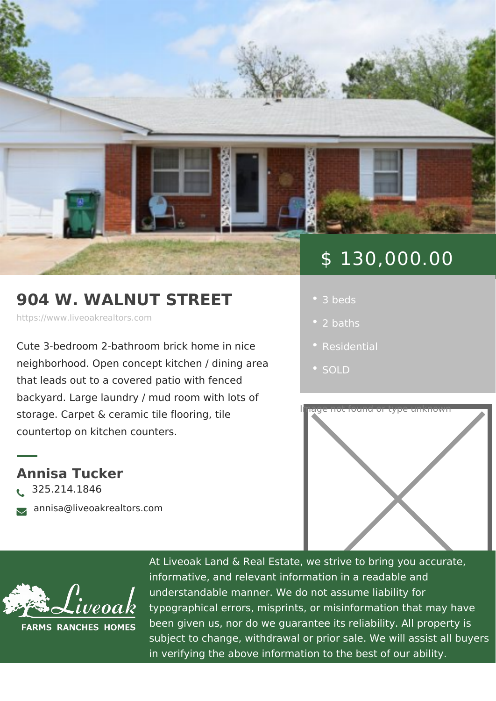## 904 W. WALNUT STREET

https://www.liveoakrealtors.com

Cute 3-bedroom 2-bathroom brick home neighborhood. Open concept kitchen / d that leads out to a covered patio with  $f(x)$ 

backyard. Large laundry / mud room with lots of

storage. Carpet & ceramic tile flooring, countertop on kitchen counters.

Annisa Tucker ð• 325.214.1846 <sub>ðà</sub> annisa@liveoakrealtors.com

## \$ 130,000.00

- 3 beds
	- 2 baths
	-
	-



At Liveoak Land & Real Estate, we strive to brin informative, and relevant information in a reada understandable manner. We do not assume liabil typographical errors, misprints, or misinformatic been given us, nor do we guarantee its reliabilit subject to change, withdrawal or prior sale. We in verifying the above information to the best of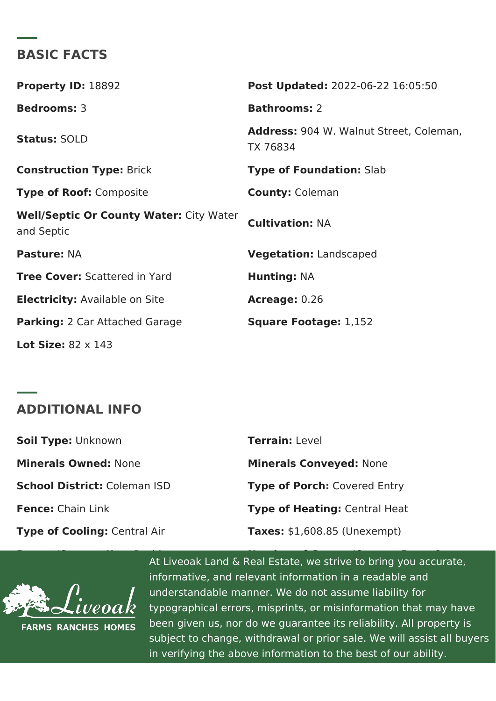BASIC FACTS

| Property ID 8892                                    | Post Update @022-06-22 16:05:50               |
|-----------------------------------------------------|-----------------------------------------------|
| Bedrooms3                                           | Bathrooms2                                    |
| <b>StatusSOLD</b>                                   | Address904 W. Walnut Street, Cole<br>TX 76834 |
| Construction TyBeick                                | Type of Foundati8hab                          |
| Type of Roodomposite                                | County Coleman                                |
| Well/Septic Or County Waitteyr: Water<br>and Septic | CultivationN: A                               |
| PastureNA                                           | VegetationLandscaped                          |
| Tree CoveS:cattered in Yard                         | Hunting NA                                    |
| Electricity Available on Site                       | Acreage0.26                                   |
| Parking2 Car Attached Garage                        | Square Footag1e,:152                          |
| Lot Size $8.2 \times 143$                           |                                               |

ADDITIONAL INFO

| Soil TypeLnknown           | TerrainLevel                 |
|----------------------------|------------------------------|
| Minerals OwneMone          | Minerals Convey None         |
| School Districtaleman ISD  | Type of PorcChovered Entry   |
| Fence Chain Link           | Type of HeatinQgentral Heat  |
| Type of CoolinCgentral Air | $Taxes $1,608.85$ (Unexempt) |

At Liveoak Land & Real Estate, we strive to bring and  $\alpha$  Real Estate, we strive to bring informative, and relevant information in a readal  $\sim$ understandable manner. We do not assume liabil typographical errors, misprints, or misinformatic been given us, nor do we guarantee its reliabilit subject to change, withdrawal or prior sale. We in verifying the above information to the best of